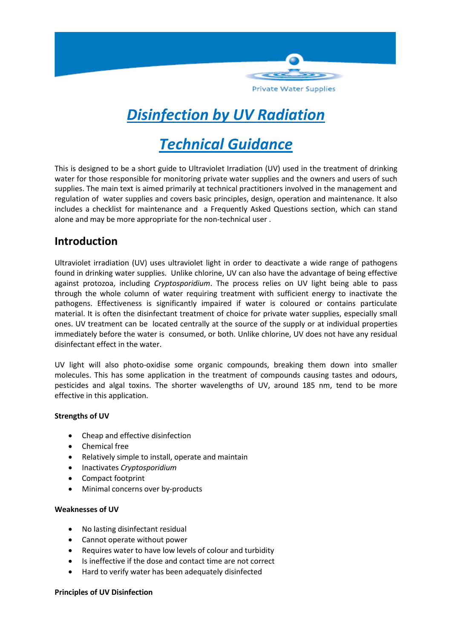

# *Disinfection by UV Radiation*

# *Technical Guidance*

This is designed to be a short guide to Ultraviolet Irradiation (UV) used in the treatment of drinking water for those responsible for monitoring private water supplies and the owners and users of such supplies. The main text is aimed primarily at technical practitioners involved in the management and regulation of water supplies and covers basic principles, design, operation and maintenance. It also includes a checklist for maintenance and a Frequently Asked Questions section, which can stand alone and may be more appropriate for the non-technical user .

# **Introduction**

Ultraviolet irradiation (UV) uses ultraviolet light in order to deactivate a wide range of pathogens found in drinking water supplies. Unlike chlorine, UV can also have the advantage of being effective against protozoa, including *Cryptosporidium*. The process relies on UV light being able to pass through the whole column of water requiring treatment with sufficient energy to inactivate the pathogens. Effectiveness is significantly impaired if water is coloured or contains particulate material. It is often the disinfectant treatment of choice for private water supplies, especially small ones. UV treatment can be located centrally at the source of the supply or at individual properties immediately before the water is consumed, or both. Unlike chlorine, UV does not have any residual disinfectant effect in the water.

UV light will also photo-oxidise some organic compounds, breaking them down into smaller molecules. This has some application in the treatment of compounds causing tastes and odours, pesticides and algal toxins. The shorter wavelengths of UV, around 185 nm, tend to be more effective in this application.

#### **Strengths of UV**

- Cheap and effective disinfection
- Chemical free
- Relatively simple to install, operate and maintain
- Inactivates *Cryptosporidium*
- Compact footprint
- Minimal concerns over by-products

#### **Weaknesses of UV**

- No lasting disinfectant residual
- Cannot operate without power
- Requires water to have low levels of colour and turbidity
- Is ineffective if the dose and contact time are not correct
- Hard to verify water has been adequately disinfected

#### **Principles of UV Disinfection**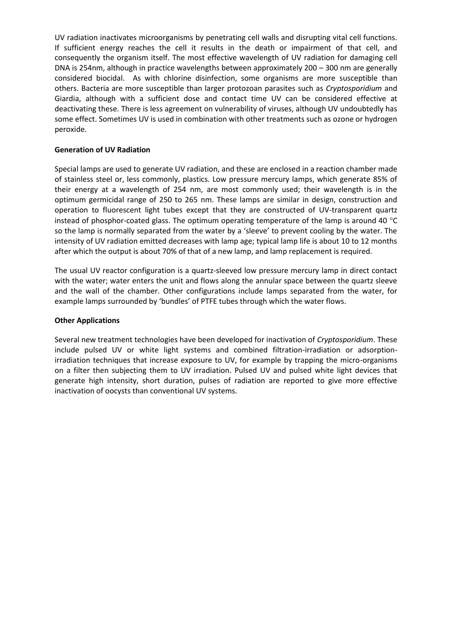UV radiation inactivates microorganisms by penetrating cell walls and disrupting vital cell functions. If sufficient energy reaches the cell it results in the death or impairment of that cell, and consequently the organism itself. The most effective wavelength of UV radiation for damaging cell DNA is 254nm, although in practice wavelengths between approximately 200 – 300 nm are generally considered biocidal. As with chlorine disinfection, some organisms are more susceptible than others. Bacteria are more susceptible than larger protozoan parasites such as *Cryptosporidium* and Giardia, although with a sufficient dose and contact time UV can be considered effective at deactivating these. There is less agreement on vulnerability of viruses, although UV undoubtedly has some effect. Sometimes UV is used in combination with other treatments such as ozone or hydrogen peroxide.

#### **Generation of UV Radiation**

Special lamps are used to generate UV radiation, and these are enclosed in a reaction chamber made of stainless steel or, less commonly, plastics. Low pressure mercury lamps, which generate 85% of their energy at a wavelength of 254 nm, are most commonly used; their wavelength is in the optimum germicidal range of 250 to 265 nm. These lamps are similar in design, construction and operation to fluorescent light tubes except that they are constructed of UV-transparent quartz instead of phosphor-coated glass. The optimum operating temperature of the lamp is around 40 $\degree$ C so the lamp is normally separated from the water by a 'sleeve' to prevent cooling by the water. The intensity of UV radiation emitted decreases with lamp age; typical lamp life is about 10 to 12 months after which the output is about 70% of that of a new lamp, and lamp replacement is required.

The usual UV reactor configuration is a quartz-sleeved low pressure mercury lamp in direct contact with the water; water enters the unit and flows along the annular space between the quartz sleeve and the wall of the chamber. Other configurations include lamps separated from the water, for example lamps surrounded by 'bundles' of PTFE tubes through which the water flows.

#### **Other Applications**

Several new treatment technologies have been developed for inactivation of *Cryptosporidium*. These include pulsed UV or white light systems and combined filtration-irradiation or adsorptionirradiation techniques that increase exposure to UV, for example by trapping the micro-organisms on a filter then subjecting them to UV irradiation. Pulsed UV and pulsed white light devices that generate high intensity, short duration, pulses of radiation are reported to give more effective inactivation of oocysts than conventional UV systems.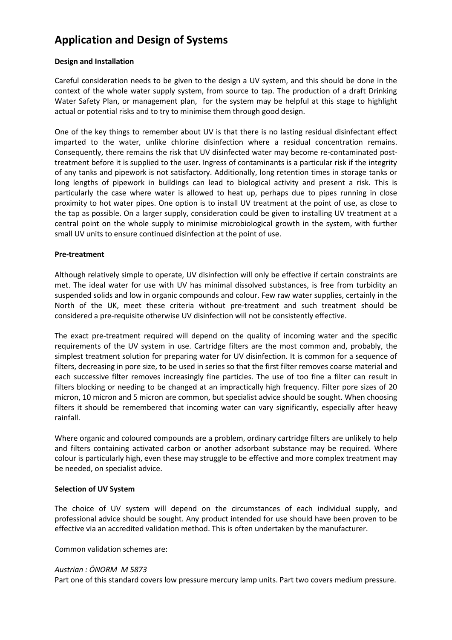# **Application and Design of Systems**

#### **Design and Installation**

Careful consideration needs to be given to the design a UV system, and this should be done in the context of the whole water supply system, from source to tap. The production of a draft Drinking Water Safety Plan, or management plan, for the system may be helpful at this stage to highlight actual or potential risks and to try to minimise them through good design.

One of the key things to remember about UV is that there is no lasting residual disinfectant effect imparted to the water, unlike chlorine disinfection where a residual concentration remains. Consequently, there remains the risk that UV disinfected water may become re-contaminated posttreatment before it is supplied to the user. Ingress of contaminants is a particular risk if the integrity of any tanks and pipework is not satisfactory. Additionally, long retention times in storage tanks or long lengths of pipework in buildings can lead to biological activity and present a risk. This is particularly the case where water is allowed to heat up, perhaps due to pipes running in close proximity to hot water pipes. One option is to install UV treatment at the point of use, as close to the tap as possible. On a larger supply, consideration could be given to installing UV treatment at a central point on the whole supply to minimise microbiological growth in the system, with further small UV units to ensure continued disinfection at the point of use.

#### **Pre-treatment**

Although relatively simple to operate, UV disinfection will only be effective if certain constraints are met. The ideal water for use with UV has minimal dissolved substances, is free from turbidity an suspended solids and low in organic compounds and colour. Few raw water supplies, certainly in the North of the UK, meet these criteria without pre-treatment and such treatment should be considered a pre-requisite otherwise UV disinfection will not be consistently effective.

The exact pre-treatment required will depend on the quality of incoming water and the specific requirements of the UV system in use. Cartridge filters are the most common and, probably, the simplest treatment solution for preparing water for UV disinfection. It is common for a sequence of filters, decreasing in pore size, to be used in series so that the first filter removes coarse material and each successive filter removes increasingly fine particles. The use of too fine a filter can result in filters blocking or needing to be changed at an impractically high frequency. Filter pore sizes of 20 micron, 10 micron and 5 micron are common, but specialist advice should be sought. When choosing filters it should be remembered that incoming water can vary significantly, especially after heavy rainfall.

Where organic and coloured compounds are a problem, ordinary cartridge filters are unlikely to help and filters containing activated carbon or another adsorbant substance may be required. Where colour is particularly high, even these may struggle to be effective and more complex treatment may be needed, on specialist advice.

#### **Selection of UV System**

The choice of UV system will depend on the circumstances of each individual supply, and professional advice should be sought. Any product intended for use should have been proven to be effective via an accredited validation method. This is often undertaken by the manufacturer.

Common validation schemes are:

#### *Austrian : ÖNORM M 5873*

Part one of this standard covers low pressure mercury lamp units. Part two covers medium pressure.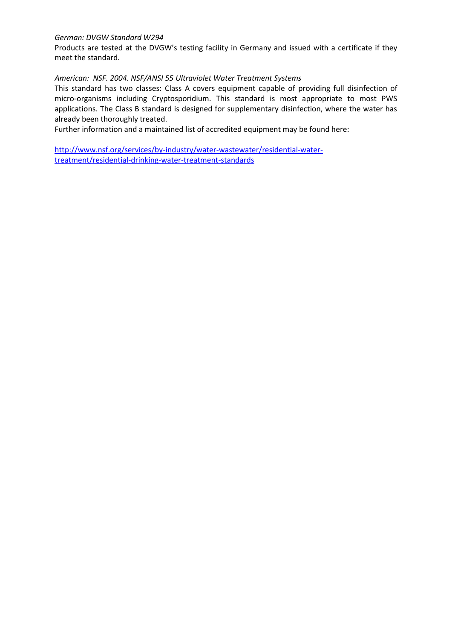#### *German: DVGW Standard W294*

Products are tested at the DVGW's testing facility in Germany and issued with a certificate if they meet the standard.

#### *American: NSF. 2004. NSF/ANSI 55 Ultraviolet Water Treatment Systems*

This standard has two classes: Class A covers equipment capable of providing full disinfection of micro-organisms including Cryptosporidium. This standard is most appropriate to most PWS applications. The Class B standard is designed for supplementary disinfection, where the water has already been thoroughly treated.

Further information and a maintained list of accredited equipment may be found here:

[http://www.nsf.org/services/by-industry/water-wastewater/residential-water](http://www.nsf.org/services/by-industry/water-wastewater/residential-water-treatment/residential-drinking-water-treatment-standards)[treatment/residential-drinking-water-treatment-standards](http://www.nsf.org/services/by-industry/water-wastewater/residential-water-treatment/residential-drinking-water-treatment-standards)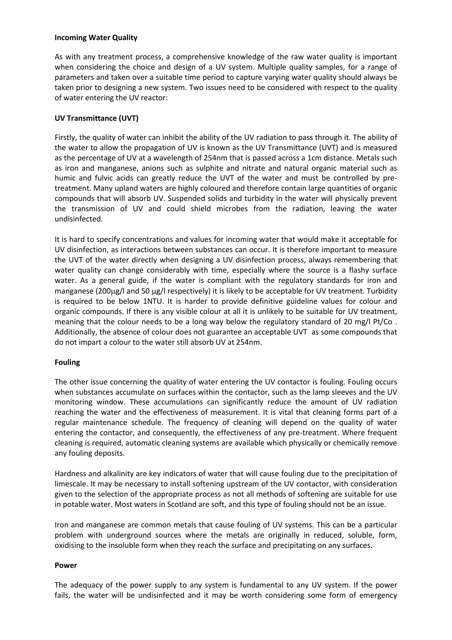#### **Incoming Water Quality**

As with any treatment process, a comprehensive knowledge of the raw water quality is important when considering the choice and design of a UV system. Multiple quality samples, for a range of parameters and taken over a suitable time period to capture varying water quality should always be taken prior to designing a new system. Two issues need to be considered with respect to the quality of water entering the UV reactor:

#### **UV Transmittance (UVT)**

Firstly, the quality of water can inhibit the ability of the UV radiation to pass through it. The ability of the water to allow the propagation of UV is known as the UV Transmittance (UVT) and is measured as the percentage of UV at a wavelength of 254nm that is passed across a 1cm distance. Metals such as iron and manganese, anions such as sulphite and nitrate and natural organic material such as humic and fulvic acids can greatly reduce the UVT of the water and must be controlled by pretreatment. Many upland waters are highly coloured and therefore contain large quantities of organic compounds that will absorb UV. Suspended solids and turbidity in the water will physically prevent the transmission of UV and could shield microbes from the radiation, leaving the water undisinfected.

It is hard to specify concentrations and values for incoming water that would make it acceptable for UV disinfection, as interactions between substances can occur. It is therefore important to measure the UVT of the water directly when designing a UV disinfection process, always remembering that water quality can change considerably with time, especially where the source is a flashy surface water. As a general guide, if the water is compliant with the regulatory standards for iron and manganese (200µg/l and 50 µg/l respectively) it is likely to be acceptable for UV treatment. Turbidity is required to be below 1NTU. It is harder to provide definitive guideline values for colour and organic compounds. If there is any visible colour at all it is unlikely to be suitable for UV treatment, meaning that the colour needs to be a long way below the regulatory standard of 20 mg/l Pt/Co . Additionally, the absence of colour does not guarantee an acceptable UVT as some compounds that do not impart a colour to the water still absorb UV at 254nm.

#### **Fouling**

The other issue concerning the quality of water entering the UV contactor is fouling. Fouling occurs when substances accumulate on surfaces within the contactor, such as the lamp sleeves and the UV monitoring window. These accumulations can significantly reduce the amount of UV radiation reaching the water and the effectiveness of measurement. It is vital that cleaning forms part of a regular maintenance schedule. The frequency of cleaning will depend on the quality of water entering the contactor, and consequently, the effectiveness of any pre-treatment. Where frequent cleaning is required, automatic cleaning systems are available which physically or chemically remove any fouling deposits.

Hardness and alkalinity are key indicators of water that will cause fouling due to the precipitation of limescale. It may be necessary to install softening upstream of the UV contactor, with consideration given to the selection of the appropriate process as not all methods of softening are suitable for use in potable water. Most waters in Scotland are soft, and this type of fouling should not be an issue.

Iron and manganese are common metals that cause fouling of UV systems. This can be a particular problem with underground sources where the metals are originally in reduced, soluble, form, oxidising to the insoluble form when they reach the surface and precipitating on any surfaces.

#### **Power**

The adequacy of the power supply to any system is fundamental to any UV system. If the power fails, the water will be undisinfected and it may be worth considering some form of emergency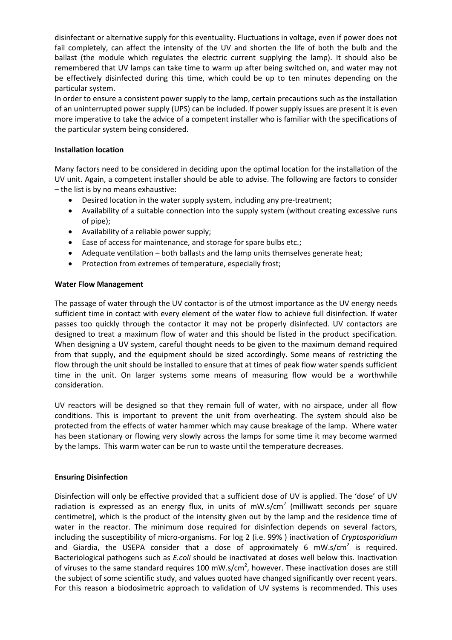disinfectant or alternative supply for this eventuality. Fluctuations in voltage, even if power does not fail completely, can affect the intensity of the UV and shorten the life of both the bulb and the ballast (the module which regulates the electric current supplying the lamp). It should also be remembered that UV lamps can take time to warm up after being switched on, and water may not be effectively disinfected during this time, which could be up to ten minutes depending on the particular system.

In order to ensure a consistent power supply to the lamp, certain precautions such as the installation of an uninterrupted power supply (UPS) can be included. If power supply issues are present it is even more imperative to take the advice of a competent installer who is familiar with the specifications of the particular system being considered.

#### **Installation location**

Many factors need to be considered in deciding upon the optimal location for the installation of the UV unit. Again, a competent installer should be able to advise. The following are factors to consider – the list is by no means exhaustive:

- Desired location in the water supply system, including any pre-treatment;
- Availability of a suitable connection into the supply system (without creating excessive runs of pipe);
- Availability of a reliable power supply;
- Ease of access for maintenance, and storage for spare bulbs etc.;
- Adequate ventilation both ballasts and the lamp units themselves generate heat;
- Protection from extremes of temperature, especially frost;

#### **Water Flow Management**

The passage of water through the UV contactor is of the utmost importance as the UV energy needs sufficient time in contact with every element of the water flow to achieve full disinfection. If water passes too quickly through the contactor it may not be properly disinfected. UV contactors are designed to treat a maximum flow of water and this should be listed in the product specification. When designing a UV system, careful thought needs to be given to the maximum demand required from that supply, and the equipment should be sized accordingly. Some means of restricting the flow through the unit should be installed to ensure that at times of peak flow water spends sufficient time in the unit. On larger systems some means of measuring flow would be a worthwhile consideration.

UV reactors will be designed so that they remain full of water, with no airspace, under all flow conditions. This is important to prevent the unit from overheating. The system should also be protected from the effects of water hammer which may cause breakage of the lamp. Where water has been stationary or flowing very slowly across the lamps for some time it may become warmed by the lamps. This warm water can be run to waste until the temperature decreases.

#### **Ensuring Disinfection**

Disinfection will only be effective provided that a sufficient dose of UV is applied. The 'dose' of UV radiation is expressed as an energy flux, in units of mW.s/cm<sup>2</sup> (milliwatt seconds per square centimetre), which is the product of the intensity given out by the lamp and the residence time of water in the reactor. The minimum dose required for disinfection depends on several factors, including the susceptibility of micro-organisms. For log 2 (i.e. 99% ) inactivation of *Cryptosporidium* and Giardia, the USEPA consider that a dose of approximately 6 mW.s/cm<sup>2</sup> is required. Bacteriological pathogens such as *E.coli* should be inactivated at doses well below this. Inactivation of viruses to the same standard requires 100 mW.s/cm<sup>2</sup>, however. These inactivation doses are still the subject of some scientific study, and values quoted have changed significantly over recent years. For this reason a biodosimetric approach to validation of UV systems is recommended. This uses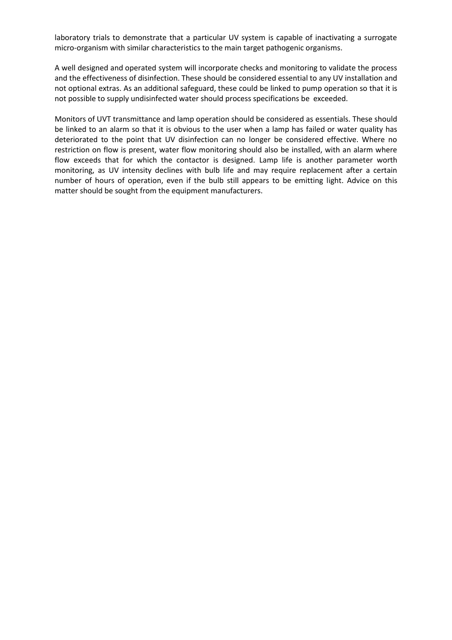laboratory trials to demonstrate that a particular UV system is capable of inactivating a surrogate micro-organism with similar characteristics to the main target pathogenic organisms.

A well designed and operated system will incorporate checks and monitoring to validate the process and the effectiveness of disinfection. These should be considered essential to any UV installation and not optional extras. As an additional safeguard, these could be linked to pump operation so that it is not possible to supply undisinfected water should process specifications be exceeded.

Monitors of UVT transmittance and lamp operation should be considered as essentials. These should be linked to an alarm so that it is obvious to the user when a lamp has failed or water quality has deteriorated to the point that UV disinfection can no longer be considered effective. Where no restriction on flow is present, water flow monitoring should also be installed, with an alarm where flow exceeds that for which the contactor is designed. Lamp life is another parameter worth monitoring, as UV intensity declines with bulb life and may require replacement after a certain number of hours of operation, even if the bulb still appears to be emitting light. Advice on this matter should be sought from the equipment manufacturers.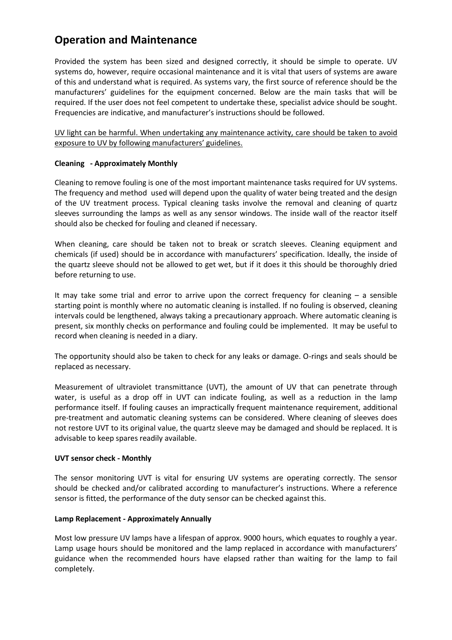# **Operation and Maintenance**

Provided the system has been sized and designed correctly, it should be simple to operate. UV systems do, however, require occasional maintenance and it is vital that users of systems are aware of this and understand what is required. As systems vary, the first source of reference should be the manufacturers' guidelines for the equipment concerned. Below are the main tasks that will be required. If the user does not feel competent to undertake these, specialist advice should be sought. Frequencies are indicative, and manufacturer's instructions should be followed.

UV light can be harmful. When undertaking any maintenance activity, care should be taken to avoid exposure to UV by following manufacturers' guidelines.

#### **Cleaning - Approximately Monthly**

Cleaning to remove fouling is one of the most important maintenance tasks required for UV systems. The frequency and method used will depend upon the quality of water being treated and the design of the UV treatment process. Typical cleaning tasks involve the removal and cleaning of quartz sleeves surrounding the lamps as well as any sensor windows. The inside wall of the reactor itself should also be checked for fouling and cleaned if necessary.

When cleaning, care should be taken not to break or scratch sleeves. Cleaning equipment and chemicals (if used) should be in accordance with manufacturers' specification. Ideally, the inside of the quartz sleeve should not be allowed to get wet, but if it does it this should be thoroughly dried before returning to use.

It may take some trial and error to arrive upon the correct frequency for cleaning – a sensible starting point is monthly where no automatic cleaning is installed. If no fouling is observed, cleaning intervals could be lengthened, always taking a precautionary approach. Where automatic cleaning is present, six monthly checks on performance and fouling could be implemented. It may be useful to record when cleaning is needed in a diary.

The opportunity should also be taken to check for any leaks or damage. O-rings and seals should be replaced as necessary.

Measurement of ultraviolet transmittance (UVT), the amount of UV that can penetrate through water, is useful as a drop off in UVT can indicate fouling, as well as a reduction in the lamp performance itself. If fouling causes an impractically frequent maintenance requirement, additional pre-treatment and automatic cleaning systems can be considered. Where cleaning of sleeves does not restore UVT to its original value, the quartz sleeve may be damaged and should be replaced. It is advisable to keep spares readily available.

#### **UVT sensor check - Monthly**

The sensor monitoring UVT is vital for ensuring UV systems are operating correctly. The sensor should be checked and/or calibrated according to manufacturer's instructions. Where a reference sensor is fitted, the performance of the duty sensor can be checked against this.

#### **Lamp Replacement - Approximately Annually**

Most low pressure UV lamps have a lifespan of approx. 9000 hours, which equates to roughly a year. Lamp usage hours should be monitored and the lamp replaced in accordance with manufacturers' guidance when the recommended hours have elapsed rather than waiting for the lamp to fail completely.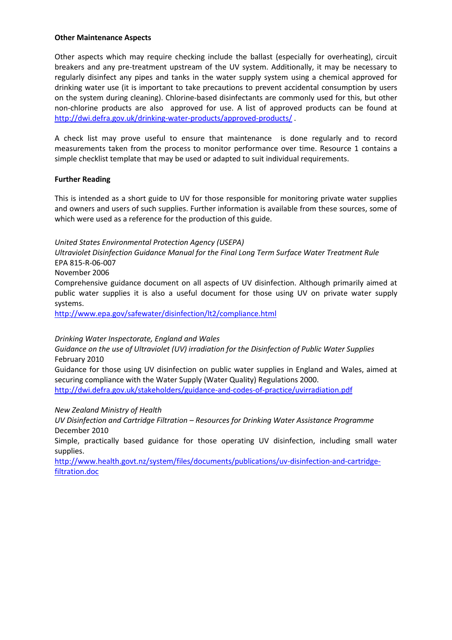#### **Other Maintenance Aspects**

Other aspects which may require checking include the ballast (especially for overheating), circuit breakers and any pre-treatment upstream of the UV system. Additionally, it may be necessary to regularly disinfect any pipes and tanks in the water supply system using a chemical approved for drinking water use (it is important to take precautions to prevent accidental consumption by users on the system during cleaning). Chlorine-based disinfectants are commonly used for this, but other non-chlorine products are also approved for use. A list of approved products can be found at <http://dwi.defra.gov.uk/drinking-water-products/approved-products/> .

A check list may prove useful to ensure that maintenance is done regularly and to record measurements taken from the process to monitor performance over time. Resource 1 contains a simple checklist template that may be used or adapted to suit individual requirements.

#### **Further Reading**

This is intended as a short guide to UV for those responsible for monitoring private water supplies and owners and users of such supplies. Further information is available from these sources, some of which were used as a reference for the production of this guide.

*United States Environmental Protection Agency (USEPA)*

*Ultraviolet Disinfection Guidance Manual for the Final Long Term Surface Water Treatment Rule* EPA 815-R-06-007

November 2006

Comprehensive guidance document on all aspects of UV disinfection. Although primarily aimed at public water supplies it is also a useful document for those using UV on private water supply systems.

<http://www.epa.gov/safewater/disinfection/lt2/compliance.html>

#### *Drinking Water Inspectorate, England and Wales*

*Guidance on the use of Ultraviolet (UV) irradiation for the Disinfection of Public Water Supplies* February 2010

Guidance for those using UV disinfection on public water supplies in England and Wales, aimed at securing compliance with the Water Supply (Water Quality) Regulations 2000. <http://dwi.defra.gov.uk/stakeholders/guidance-and-codes-of-practice/uvirradiation.pdf>

#### *New Zealand Ministry of Health*

*UV Disinfection and Cartridge Filtration – Resources for Drinking Water Assistance Programme* December 2010

Simple, practically based guidance for those operating UV disinfection, including small water supplies.

[http://www.health.govt.nz/system/files/documents/publications/uv-disinfection-and-cartridge](http://www.health.govt.nz/system/files/documents/publications/uv-disinfection-and-cartridge-filtration.doc)[filtration.doc](http://www.health.govt.nz/system/files/documents/publications/uv-disinfection-and-cartridge-filtration.doc)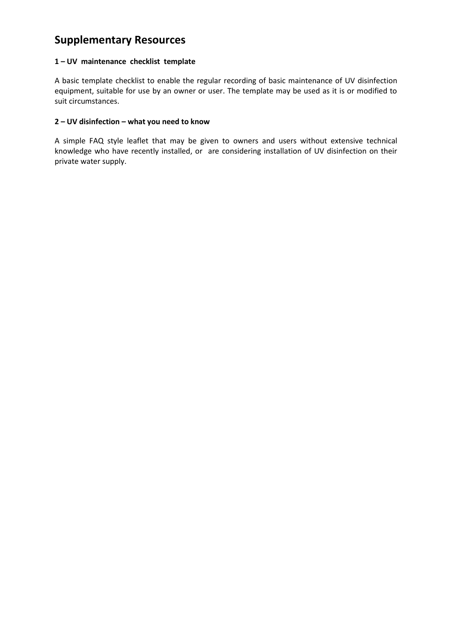# **Supplementary Resources**

#### **1 – UV maintenance checklist template**

A basic template checklist to enable the regular recording of basic maintenance of UV disinfection equipment, suitable for use by an owner or user. The template may be used as it is or modified to suit circumstances.

#### **2 – UV disinfection – what you need to know**

A simple FAQ style leaflet that may be given to owners and users without extensive technical knowledge who have recently installed, or are considering installation of UV disinfection on their private water supply.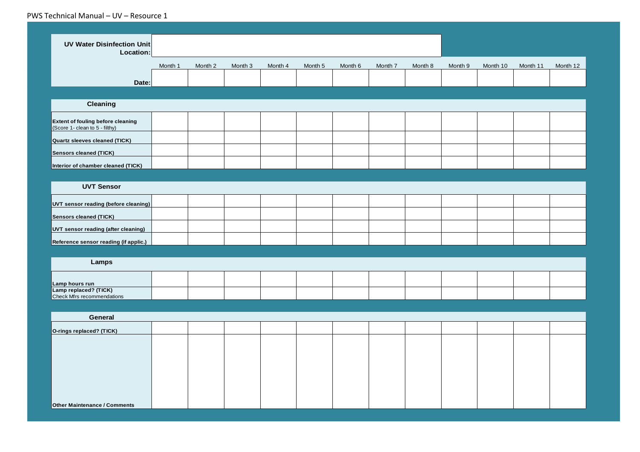#### PWS Technical Manual – UV – Resource 1

| <b>UV Water Disinfection Unit</b><br>Location:                      |         |         |         |         |         |         |         |         |         |          |          |          |
|---------------------------------------------------------------------|---------|---------|---------|---------|---------|---------|---------|---------|---------|----------|----------|----------|
|                                                                     | Month 1 | Month 2 | Month 3 | Month 4 | Month 5 | Month 6 | Month 7 | Month 8 | Month 9 | Month 10 | Month 11 | Month 12 |
| Date:                                                               |         |         |         |         |         |         |         |         |         |          |          |          |
|                                                                     |         |         |         |         |         |         |         |         |         |          |          |          |
| Cleaning                                                            |         |         |         |         |         |         |         |         |         |          |          |          |
| Extent of fouling before cleaning<br>(Score 1- clean to 5 - filthy) |         |         |         |         |         |         |         |         |         |          |          |          |
| <b>Quartz sleeves cleaned (TICK)</b>                                |         |         |         |         |         |         |         |         |         |          |          |          |
| <b>Sensors cleaned (TICK)</b>                                       |         |         |         |         |         |         |         |         |         |          |          |          |
| Interior of chamber cleaned (TICK)                                  |         |         |         |         |         |         |         |         |         |          |          |          |
|                                                                     |         |         |         |         |         |         |         |         |         |          |          |          |
| <b>UVT Sensor</b>                                                   |         |         |         |         |         |         |         |         |         |          |          |          |
| UVT sensor reading (before cleaning)                                |         |         |         |         |         |         |         |         |         |          |          |          |
| <b>Sensors cleaned (TICK)</b>                                       |         |         |         |         |         |         |         |         |         |          |          |          |
| UVT sensor reading (after cleaning)                                 |         |         |         |         |         |         |         |         |         |          |          |          |
| Reference sensor reading (if applic.)                               |         |         |         |         |         |         |         |         |         |          |          |          |
|                                                                     |         |         |         |         |         |         |         |         |         |          |          |          |
| Lamps                                                               |         |         |         |         |         |         |         |         |         |          |          |          |
| Lamp hours run                                                      |         |         |         |         |         |         |         |         |         |          |          |          |
| Lamp replaced? (TICK)<br>Check Mfrs recommendations                 |         |         |         |         |         |         |         |         |         |          |          |          |
|                                                                     |         |         |         |         |         |         |         |         |         |          |          |          |
| General                                                             |         |         |         |         |         |         |         |         |         |          |          |          |
| O-rings replaced? (TICK)                                            |         |         |         |         |         |         |         |         |         |          |          |          |
|                                                                     |         |         |         |         |         |         |         |         |         |          |          |          |
|                                                                     |         |         |         |         |         |         |         |         |         |          |          |          |
|                                                                     |         |         |         |         |         |         |         |         |         |          |          |          |
|                                                                     |         |         |         |         |         |         |         |         |         |          |          |          |
|                                                                     |         |         |         |         |         |         |         |         |         |          |          |          |
| <b>Other Maintenance / Comments</b>                                 |         |         |         |         |         |         |         |         |         |          |          |          |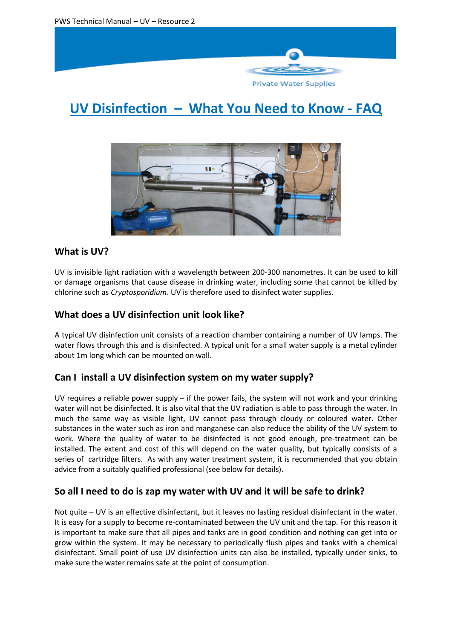

Private Water Supplies

# **UV Disinfection – What You Need to Know - FAQ**



# **What is UV?**

UV is invisible light radiation with a wavelength between 200-300 nanometres. It can be used to kill or damage organisms that cause disease in drinking water, including some that cannot be killed by chlorine such as *Cryptosporidium*. UV is therefore used to disinfect water supplies.

# **What does a UV disinfection unit look like?**

A typical UV disinfection unit consists of a reaction chamber containing a number of UV lamps. The water flows through this and is disinfected. A typical unit for a small water supply is a metal cylinder about 1m long which can be mounted on wall.

# **Can I install a UV disinfection system on my water supply?**

UV requires a reliable power supply – if the power fails, the system will not work and your drinking water will not be disinfected. It is also vital that the UV radiation is able to pass through the water. In much the same way as visible light, UV cannot pass through cloudy or coloured water. Other substances in the water such as iron and manganese can also reduce the ability of the UV system to work. Where the quality of water to be disinfected is not good enough, pre-treatment can be installed. The extent and cost of this will depend on the water quality, but typically consists of a series of cartridge filters. As with any water treatment system, it is recommended that you obtain advice from a suitably qualified professional (see below for details).

# **So all I need to do is zap my water with UV and it will be safe to drink?**

Not quite – UV is an effective disinfectant, but it leaves no lasting residual disinfectant in the water. It is easy for a supply to become re-contaminated between the UV unit and the tap. For this reason it is important to make sure that all pipes and tanks are in good condition and nothing can get into or grow within the system. It may be necessary to periodically flush pipes and tanks with a chemical disinfectant. Small point of use UV disinfection units can also be installed, typically under sinks, to make sure the water remains safe at the point of consumption.